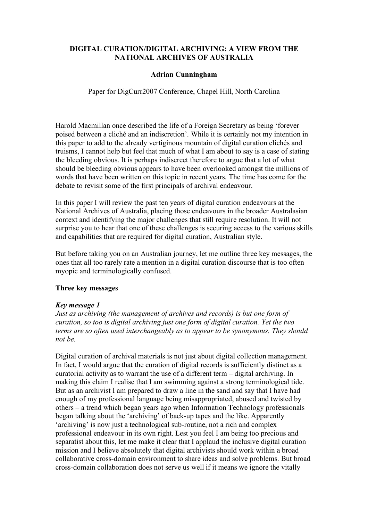# **DIGITAL CURATION/DIGITAL ARCHIVING: A VIEW FROM THE NATIONAL ARCHIVES OF AUSTRALIA**

## **Adrian Cunningham**

Paper for DigCurr2007 Conference, Chapel Hill, North Carolina

Harold Macmillan once described the life of a Foreign Secretary as being 'forever poised between a cliché and an indiscretion'. While it is certainly not my intention in this paper to add to the already vertiginous mountain of digital curation clichés and truisms, I cannot help but feel that much of what I am about to say is a case of stating the bleeding obvious. It is perhaps indiscreet therefore to argue that a lot of what should be bleeding obvious appears to have been overlooked amongst the millions of words that have been written on this topic in recent years. The time has come for the debate to revisit some of the first principals of archival endeavour.

In this paper I will review the past ten years of digital curation endeavours at the National Archives of Australia, placing those endeavours in the broader Australasian context and identifying the major challenges that still require resolution. It will not surprise you to hear that one of these challenges is securing access to the various skills and capabilities that are required for digital curation, Australian style.

But before taking you on an Australian journey, let me outline three key messages, the ones that all too rarely rate a mention in a digital curation discourse that is too often myopic and terminologically confused.

### **Three key messages**

### *Key message 1*

*Just as archiving (the management of archives and records) is but one form of curation, so too is digital archiving just one form of digital curation. Yet the two terms are so often used interchangeably as to appear to be synonymous. They should not be.*

Digital curation of archival materials is not just about digital collection management. In fact, I would argue that the curation of digital records is sufficiently distinct as a curatorial activity as to warrant the use of a different term – digital archiving. In making this claim I realise that I am swimming against a strong terminological tide. But as an archivist I am prepared to draw a line in the sand and say that I have had enough of my professional language being misappropriated, abused and twisted by others – a trend which began years ago when Information Technology professionals began talking about the 'archiving' of back-up tapes and the like. Apparently 'archiving' is now just a technological sub-routine, not a rich and complex professional endeavour in its own right. Lest you feel I am being too precious and separatist about this, let me make it clear that I applaud the inclusive digital curation mission and I believe absolutely that digital archivists should work within a broad collaborative cross-domain environment to share ideas and solve problems. But broad cross-domain collaboration does not serve us well if it means we ignore the vitally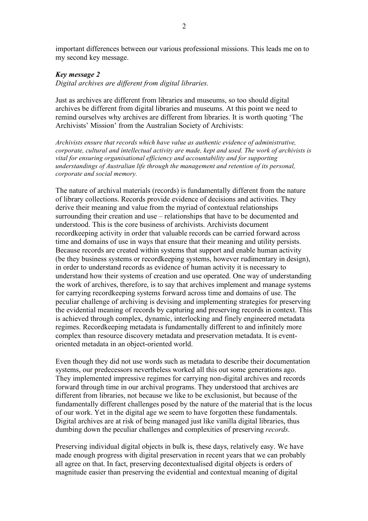important differences between our various professional missions. This leads me on to my second key message.

### *Key message 2*

*Digital archives are different from digital libraries.*

Just as archives are different from libraries and museums, so too should digital archives be different from digital libraries and museums. At this point we need to remind ourselves why archives are different from libraries. It is worth quoting 'The Archivists' Mission' from the Australian Society of Archivists:

*Archivists ensure that records which have value as authentic evidence of administrative, corporate, cultural and intellectual activity are made, kept and used. The work of archivists is vital for ensuring organisational efficiency and accountability and for supporting understandings of Australian life through the management and retention of its personal, corporate and social memory.*

The nature of archival materials (records) is fundamentally different from the nature of library collections. Records provide evidence of decisions and activities. They derive their meaning and value from the myriad of contextual relationships surrounding their creation and use – relationships that have to be documented and understood. This is the core business of archivists. Archivists document recordkeeping activity in order that valuable records can be carried forward across time and domains of use in ways that ensure that their meaning and utility persists. Because records are created within systems that support and enable human activity (be they business systems or recordkeeping systems, however rudimentary in design), in order to understand records as evidence of human activity it is necessary to understand how their systems of creation and use operated. One way of understanding the work of archives, therefore, is to say that archives implement and manage systems for carrying recordkeeping systems forward across time and domains of use. The peculiar challenge of archiving is devising and implementing strategies for preserving the evidential meaning of records by capturing and preserving records in context. This is achieved through complex, dynamic, interlocking and finely engineered metadata regimes. Recordkeeping metadata is fundamentally different to and infinitely more complex than resource discovery metadata and preservation metadata. It is eventoriented metadata in an object-oriented world.

Even though they did not use words such as metadata to describe their documentation systems, our predecessors nevertheless worked all this out some generations ago. They implemented impressive regimes for carrying non-digital archives and records forward through time in our archival programs. They understood that archives are different from libraries, not because we like to be exclusionist, but because of the fundamentally different challenges posed by the nature of the material that is the locus of our work. Yet in the digital age we seem to have forgotten these fundamentals. Digital archives are at risk of being managed just like vanilla digital libraries, thus dumbing down the peculiar challenges and complexities of preserving *records*.

Preserving individual digital objects in bulk is, these days, relatively easy. We have made enough progress with digital preservation in recent years that we can probably all agree on that. In fact, preserving decontextualised digital objects is orders of magnitude easier than preserving the evidential and contextual meaning of digital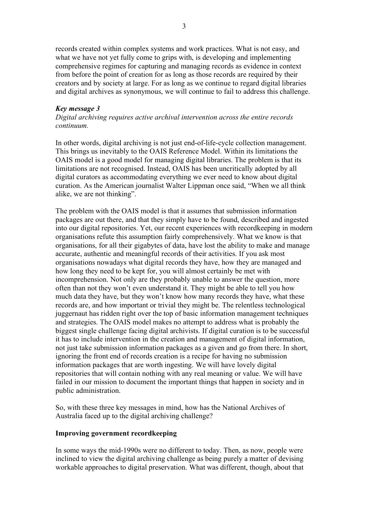records created within complex systems and work practices. What is not easy, and what we have not yet fully come to grips with, is developing and implementing comprehensive regimes for capturing and managing records as evidence in context from before the point of creation for as long as those records are required by their creators and by society at large. For as long as we continue to regard digital libraries and digital archives as synonymous, we will continue to fail to address this challenge.

#### *Key message 3*

*Digital archiving requires active archival intervention across the entire records continuum.*

In other words, digital archiving is not just end-of-life-cycle collection management. This brings us inevitably to the OAIS Reference Model. Within its limitations the OAIS model is a good model for managing digital libraries. The problem is that its limitations are not recognised. Instead, OAIS has been uncritically adopted by all digital curators as accommodating everything we ever need to know about digital curation. As the American journalist Walter Lippman once said, "When we all think alike, we are not thinking".

The problem with the OAIS model is that it assumes that submission information packages are out there, and that they simply have to be found, described and ingested into our digital repositories. Yet, our recent experiences with recordkeeping in modern organisations refute this assumption fairly comprehensively. What we know is that organisations, for all their gigabytes of data, have lost the ability to make and manage accurate, authentic and meaningful records of their activities. If you ask most organisations nowadays what digital records they have, how they are managed and how long they need to be kept for, you will almost certainly be met with incomprehension. Not only are they probably unable to answer the question, more often than not they won't even understand it. They might be able to tell you how much data they have, but they won't know how many records they have, what these records are, and how important or trivial they might be. The relentless technological juggernaut has ridden right over the top of basic information management techniques and strategies. The OAIS model makes no attempt to address what is probably the biggest single challenge facing digital archivists. If digital curation is to be successful it has to include intervention in the creation and management of digital information, not just take submission information packages as a given and go from there. In short, ignoring the front end of records creation is a recipe for having no submission information packages that are worth ingesting. We will have lovely digital repositories that will contain nothing with any real meaning or value. We will have failed in our mission to document the important things that happen in society and in public administration.

So, with these three key messages in mind, how has the National Archives of Australia faced up to the digital archiving challenge?

#### **Improving government recordkeeping**

In some ways the mid-1990s were no different to today. Then, as now, people were inclined to view the digital archiving challenge as being purely a matter of devising workable approaches to digital preservation. What was different, though, about that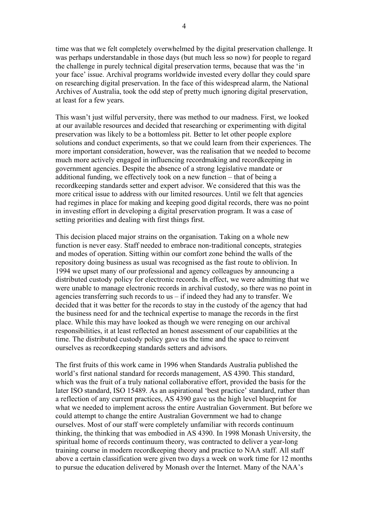time was that we felt completely overwhelmed by the digital preservation challenge. It was perhaps understandable in those days (but much less so now) for people to regard the challenge in purely technical digital preservation terms, because that was the 'in your face' issue. Archival programs worldwide invested every dollar they could spare on researching digital preservation. In the face of this widespread alarm, the National Archives of Australia, took the odd step of pretty much ignoring digital preservation, at least for a few years.

This wasn't just wilful perversity, there was method to our madness. First, we looked at our available resources and decided that researching or experimenting with digital preservation was likely to be a bottomless pit. Better to let other people explore solutions and conduct experiments, so that we could learn from their experiences. The more important consideration, however, was the realisation that we needed to become much more actively engaged in influencing recordmaking and recordkeeping in government agencies. Despite the absence of a strong legislative mandate or additional funding, we effectively took on a new function – that of being a recordkeeping standards setter and expert advisor. We considered that this was the more critical issue to address with our limited resources. Until we felt that agencies had regimes in place for making and keeping good digital records, there was no point in investing effort in developing a digital preservation program. It was a case of setting priorities and dealing with first things first.

This decision placed major strains on the organisation. Taking on a whole new function is never easy. Staff needed to embrace non-traditional concepts, strategies and modes of operation. Sitting within our comfort zone behind the walls of the repository doing business as usual was recognised as the fast route to oblivion. In 1994 we upset many of our professional and agency colleagues by announcing a distributed custody policy for electronic records. In effect, we were admitting that we were unable to manage electronic records in archival custody, so there was no point in agencies transferring such records to us – if indeed they had any to transfer. We decided that it was better for the records to stay in the custody of the agency that had the business need for and the technical expertise to manage the records in the first place. While this may have looked as though we were reneging on our archival responsibilities, it at least reflected an honest assessment of our capabilities at the time. The distributed custody policy gave us the time and the space to reinvent ourselves as recordkeeping standards setters and advisors.

The first fruits of this work came in 1996 when Standards Australia published the world's first national standard for records management, AS 4390. This standard, which was the fruit of a truly national collaborative effort, provided the basis for the later ISO standard, ISO 15489. As an aspirational 'best practice' standard, rather than a reflection of any current practices, AS 4390 gave us the high level blueprint for what we needed to implement across the entire Australian Government. But before we could attempt to change the entire Australian Government we had to change ourselves. Most of our staff were completely unfamiliar with records continuum thinking, the thinking that was embodied in AS 4390. In 1998 Monash University, the spiritual home of records continuum theory, was contracted to deliver a year-long training course in modern recordkeeping theory and practice to NAA staff. All staff above a certain classification were given two days a week on work time for 12 months to pursue the education delivered by Monash over the Internet. Many of the NAA's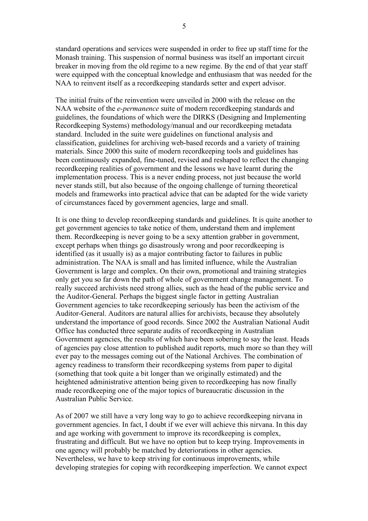standard operations and services were suspended in order to free up staff time for the Monash training. This suspension of normal business was itself an important circuit breaker in moving from the old regime to a new regime. By the end of that year staff were equipped with the conceptual knowledge and enthusiasm that was needed for the NAA to reinvent itself as a recordkeeping standards setter and expert advisor.

The initial fruits of the reinvention were unveiled in 2000 with the release on the NAA website of the *e-permanence* suite of modern recordkeeping standards and guidelines, the foundations of which were the DIRKS (Designing and Implementing Recordkeeping Systems) methodology/manual and our recordkeeping metadata standard. Included in the suite were guidelines on functional analysis and classification, guidelines for archiving web-based records and a variety of training materials. Since 2000 this suite of modern recordkeeping tools and guidelines has been continuously expanded, fine-tuned, revised and reshaped to reflect the changing recordkeeping realities of government and the lessons we have learnt during the implementation process. This is a never ending process, not just because the world never stands still, but also because of the ongoing challenge of turning theoretical models and frameworks into practical advice that can be adapted for the wide variety of circumstances faced by government agencies, large and small.

It is one thing to develop recordkeeping standards and guidelines. It is quite another to get government agencies to take notice of them, understand them and implement them. Recordkeeping is never going to be a sexy attention grabber in government, except perhaps when things go disastrously wrong and poor recordkeeping is identified (as it usually is) as a major contributing factor to failures in public administration. The NAA is small and has limited influence, while the Australian Government is large and complex. On their own, promotional and training strategies only get you so far down the path of whole of government change management. To really succeed archivists need strong allies, such as the head of the public service and the Auditor-General. Perhaps the biggest single factor in getting Australian Government agencies to take recordkeeping seriously has been the activism of the Auditor-General. Auditors are natural allies for archivists, because they absolutely understand the importance of good records. Since 2002 the Australian National Audit Office has conducted three separate audits of recordkeeping in Australian Government agencies, the results of which have been sobering to say the least. Heads of agencies pay close attention to published audit reports, much more so than they will ever pay to the messages coming out of the National Archives. The combination of agency readiness to transform their recordkeeping systems from paper to digital (something that took quite a bit longer than we originally estimated) and the heightened administrative attention being given to recordkeeping has now finally made recordkeeping one of the major topics of bureaucratic discussion in the Australian Public Service.

As of 2007 we still have a very long way to go to achieve recordkeeping nirvana in government agencies. In fact, I doubt if we ever will achieve this nirvana. In this day and age working with government to improve its recordkeeping is complex, frustrating and difficult. But we have no option but to keep trying. Improvements in one agency will probably be matched by deteriorations in other agencies. Nevertheless, we have to keep striving for continuous improvements, while developing strategies for coping with recordkeeping imperfection. We cannot expect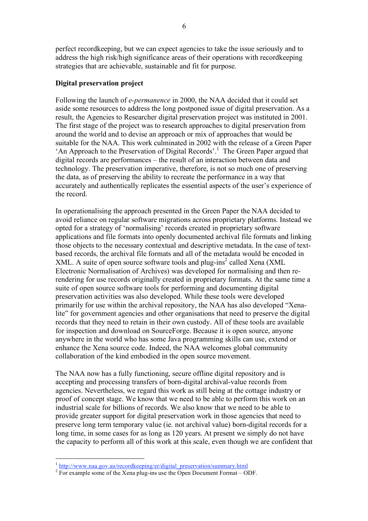perfect recordkeeping, but we can expect agencies to take the issue seriously and to address the high risk/high significance areas of their operations with recordkeeping strategies that are achievable, sustainable and fit for purpose.

### **Digital preservation project**

Following the launch of *e-permanence* in 2000, the NAA decided that it could set aside some resources to address the long postponed issue of digital preservation. As a result, the Agencies to Researcher digital preservation project was instituted in 2001. The first stage of the project was to research approaches to digital preservation from around the world and to devise an approach or mix of approaches that would be suitable for the NAA. This work culminated in 2002 with the release of a Green Paper 'An Approach to the Preservation of Digital Records'. <sup>1</sup> The Green Paper argued that digital records are performances – the result of an interaction between data and technology. The preservation imperative, therefore, is not so much one of preserving the data, as of preserving the ability to recreate the performance in a way that accurately and authentically replicates the essential aspects of the user's experience of the record.

In operationalising the approach presented in the Green Paper the NAA decided to avoid reliance on regular software migrations across proprietary platforms. Instead we opted for a strategy of 'normalising' records created in proprietary software applications and file formats into openly documented archival file formats and linking those objects to the necessary contextual and descriptive metadata. In the case of textbased records, the archival file formats and all of the metadata would be encoded in XML. A suite of open source software tools and plug-ins<sup>2</sup> called Xena (XML Electronic Normalisation of Archives) was developed for normalising and then rerendering for use records originally created in proprietary formats. At the same time a suite of open source software tools for performing and documenting digital preservation activities was also developed. While these tools were developed primarily for use within the archival repository, the NAA has also developed "Xenalite" for government agencies and other organisations that need to preserve the digital records that they need to retain in their own custody. All of these tools are available for inspection and download on SourceForge. Because it is open source, anyone anywhere in the world who has some Java programming skills can use, extend or enhance the Xena source code. Indeed, the NAA welcomes global community collaboration of the kind embodied in the open source movement.

The NAA now has a fully functioning, secure offline digital repository and is accepting and processing transfers of born-digital archival-value records from agencies. Nevertheless, we regard this work as still being at the cottage industry or proof of concept stage. We know that we need to be able to perform this work on an industrial scale for billions of records. We also know that we need to be able to provide greater support for digital preservation work in those agencies that need to preserve long term temporary value (ie. not archival value) born-digital records for a long time, in some cases for as long as 120 years. At present we simply do not have the capacity to perform all of this work at this scale, even though we are confident that

 $\frac{1}{2}$  http://www.naa.gov.au/recordkeeping/er/digital\_preservation/summary.html  $\frac{1}{2}$  For example some of the Xena plug-ins use the Open Document Format – ODF.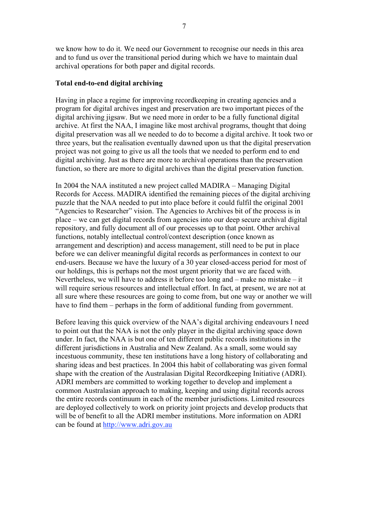we know how to do it. We need our Government to recognise our needs in this area and to fund us over the transitional period during which we have to maintain dual

## **Total end-to-end digital archiving**

archival operations for both paper and digital records.

Having in place a regime for improving recordkeeping in creating agencies and a program for digital archives ingest and preservation are two important pieces of the digital archiving jigsaw. But we need more in order to be a fully functional digital archive. At first the NAA, I imagine like most archival programs, thought that doing digital preservation was all we needed to do to become a digital archive. It took two or three years, but the realisation eventually dawned upon us that the digital preservation project was not going to give us all the tools that we needed to perform end to end digital archiving. Just as there are more to archival operations than the preservation function, so there are more to digital archives than the digital preservation function.

In 2004 the NAA instituted a new project called MADIRA – Managing Digital Records for Access. MADIRA identified the remaining pieces of the digital archiving puzzle that the NAA needed to put into place before it could fulfil the original 2001 "Agencies to Researcher" vision. The Agencies to Archives bit of the process is in place – we can get digital records from agencies into our deep secure archival digital repository, and fully document all of our processes up to that point. Other archival functions, notably intellectual control/context description (once known as arrangement and description) and access management, still need to be put in place before we can deliver meaningful digital records as performances in context to our end-users. Because we have the luxury of a 30 year closed-access period for most of our holdings, this is perhaps not the most urgent priority that we are faced with. Nevertheless, we will have to address it before too long and – make no mistake – it will require serious resources and intellectual effort. In fact, at present, we are not at all sure where these resources are going to come from, but one way or another we will have to find them – perhaps in the form of additional funding from government.

Before leaving this quick overview of the NAA's digital archiving endeavours I need to point out that the NAA is not the only player in the digital archiving space down under. In fact, the NAA is but one of ten different public records institutions in the different jurisdictions in Australia and New Zealand. As a small, some would say incestuous community, these ten institutions have a long history of collaborating and sharing ideas and best practices. In 2004 this habit of collaborating was given formal shape with the creation of the Australasian Digital Recordkeeping Initiative (ADRI). ADRI members are committed to working together to develop and implement a common Australasian approach to making, keeping and using digital records across the entire records continuum in each of the member jurisdictions. Limited resources are deployed collectively to work on priority joint projects and develop products that will be of benefit to all the ADRI member institutions. More information on ADRI can be found at http://www.adri.gov.au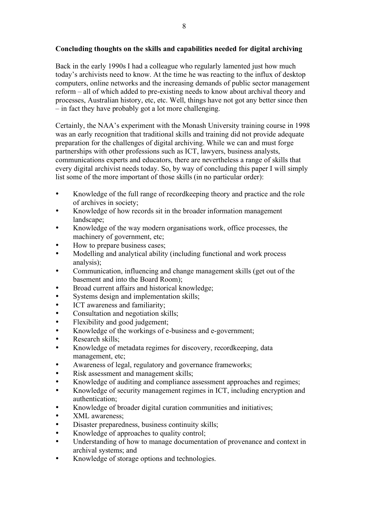# **Concluding thoughts on the skills and capabilities needed for digital archiving**

Back in the early 1990s I had a colleague who regularly lamented just how much today's archivists need to know. At the time he was reacting to the influx of desktop computers, online networks and the increasing demands of public sector management reform – all of which added to pre-existing needs to know about archival theory and processes, Australian history, etc, etc. Well, things have not got any better since then – in fact they have probably got a lot more challenging.

Certainly, the NAA's experiment with the Monash University training course in 1998 was an early recognition that traditional skills and training did not provide adequate preparation for the challenges of digital archiving. While we can and must forge partnerships with other professions such as ICT, lawyers, business analysts, communications experts and educators, there are nevertheless a range of skills that every digital archivist needs today. So, by way of concluding this paper I will simply list some of the more important of those skills (in no particular order):

- Knowledge of the full range of recordkeeping theory and practice and the role of archives in society;
- Knowledge of how records sit in the broader information management landscape;
- Knowledge of the way modern organisations work, office processes, the machinery of government, etc;
- How to prepare business cases;
- Modelling and analytical ability (including functional and work process analysis);
- Communication, influencing and change management skills (get out of the basement and into the Board Room);
- Broad current affairs and historical knowledge;
- Systems design and implementation skills;
- ICT awareness and familiarity;
- Consultation and negotiation skills;
- Flexibility and good judgement;
- Knowledge of the workings of e-business and e-government;
- Research skills;
- Knowledge of metadata regimes for discovery, recordkeeping, data management, etc;
- Awareness of legal, regulatory and governance frameworks;
- Risk assessment and management skills;
- Knowledge of auditing and compliance assessment approaches and regimes;
- Knowledge of security management regimes in ICT, including encryption and authentication;
- Knowledge of broader digital curation communities and initiatives;<br>• XML awareness:
- XML awareness;
- Disaster preparedness, business continuity skills;
- Knowledge of approaches to quality control;
- Understanding of how to manage documentation of provenance and context in archival systems; and
- Knowledge of storage options and technologies.